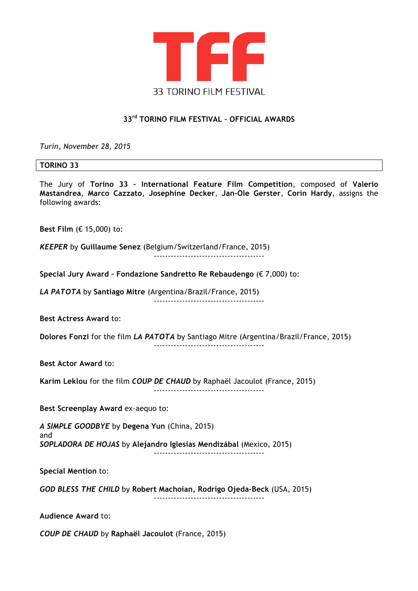

# **33rd TORINO FILM FESTIVAL – OFFICIAL AWARDS**

*Turin, November 28, 2015*

#### **TORINO 33**

The Jury of **Torino 33 – International Feature Film Competition**, composed of **Valerio Mastandrea**, **Marco Cazzato**, **Josephine Decker**, **Jan-Ole Gerster**, **Corin Hardy**, assigns the following awards:

**Best Film** (€ 15,000) to:

*KEEPER* by **Guillaume Senez** (Belgium/Switzerland/France, 2015)

---------------------------------------

**Special Jury Award – Fondazione Sandretto Re Rebaudengo** (€ 7,000) to:

*LA PATOTA* by **Santiago Mitre** (Argentina/Brazil/France, 2015) ---------------------------------------

**Best Actress Award** to:

**Dolores Fonzi** for the film *LA PATOTA* by Santiago Mitre (Argentina/Brazil/France, 2015)

---------------------------------------

**Best Actor Award** to:

**Karim Leklou** for the film *COUP DE CHAUD* by Raphaël Jacoulot (France, 2015) ---------------------------------------

**Best Screenplay Award** ex-aequo to:

*A SIMPLE GOODBYE* by **Degena Yun** (China, 2015) and *SOPLADORA DE HOJAS* by **Alejandro Iglesias Mendizábal** (Mexico, 2015)

---------------------------------------

**Special Mention** to:

*GOD BLESS THE CHILD* by **Robert Machoian, Rodrigo Ojeda-Beck** (USA, 2015) ---------------------------------------

**Audience Award** to:

*COUP DE CHAUD* by **Raphaël Jacoulot** (France, 2015)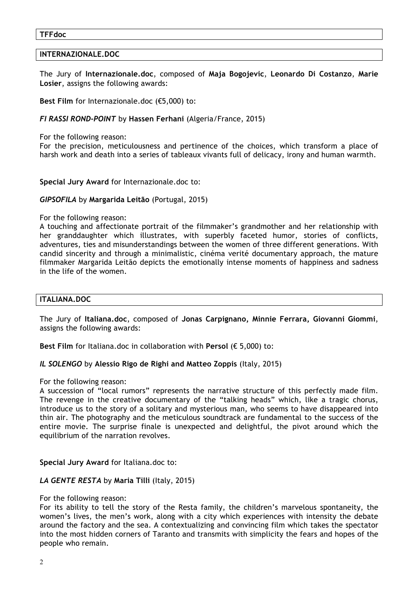#### **TFFdoc**

## **INTERNAZIONALE.DOC**

The Jury of **Internazionale.doc**, composed of **Maja Bogojevic**, **Leonardo Di Costanzo**, **Marie Losier**, assigns the following awards:

**Best Film** for Internazionale.doc (€5,000) to:

## *FI RASSI ROND-POINT* by **Hassen Ferhani** (Algeria/France, 2015)

For the following reason:

For the precision, meticulousness and pertinence of the choices, which transform a place of harsh work and death into a series of tableaux vivants full of delicacy, irony and human warmth.

**Special Jury Award** for Internazionale.doc to:

## *GIPSOFILA* by **Margarida Leitão** (Portugal, 2015)

### For the following reason:

A touching and affectionate portrait of the filmmaker's grandmother and her relationship with her granddaughter which illustrates, with superbly faceted humor, stories of conflicts, adventures, ties and misunderstandings between the women of three different generations. With candid sincerity and through a minimalistic, cinéma verité documentary approach, the mature filmmaker Margarida Leitão depicts the emotionally intense moments of happiness and sadness in the life of the women.

### **ITALIANA.DOC**

The Jury of **Italiana.doc**, composed of **Jonas Carpignano, Minnie Ferrara, Giovanni Giommi**, assigns the following awards:

**Best Film** for Italiana.doc in collaboration with **Persol** (€ 5,000) to:

### *IL SOLENGO* by **Alessio Rigo de Righi and Matteo Zoppis** (Italy, 2015)

For the following reason:

A succession of "local rumors" represents the narrative structure of this perfectly made film. The revenge in the creative documentary of the "talking heads" which, like a tragic chorus, introduce us to the story of a solitary and mysterious man, who seems to have disappeared into thin air. The photography and the meticulous soundtrack are fundamental to the success of the entire movie. The surprise finale is unexpected and delightful, the pivot around which the equilibrium of the narration revolves.

**Special Jury Award** for Italiana.doc to:

### *LA GENTE RESTA* by **Maria Tilli** (Italy, 2015)

For the following reason:

For its ability to tell the story of the Resta family, the children's marvelous spontaneity, the women's lives, the men's work, along with a city which experiences with intensity the debate around the factory and the sea. A contextualizing and convincing film which takes the spectator into the most hidden corners of Taranto and transmits with simplicity the fears and hopes of the people who remain.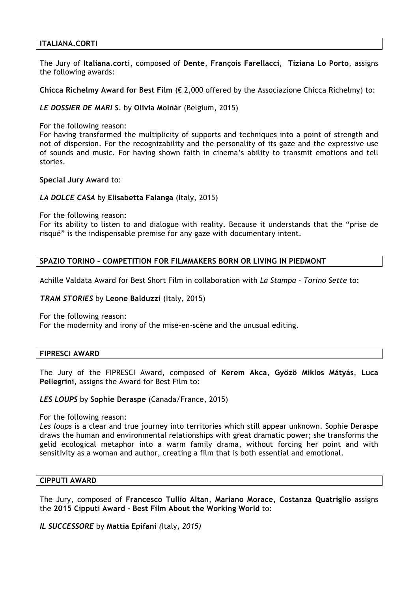## **ITALIANA.CORTI**

The Jury of **Italiana.corti**, composed of **Dente**, **François Farellacci**, **Tiziana Lo Porto**, assigns the following awards:

**Chicca Richelmy Award for Best Film** (€ 2,000 offered by the Associazione Chicca Richelmy) to:

## *LE DOSSIER DE MARI S.* by **Olivia Molnàr** (Belgium, 2015)

For the following reason:

For having transformed the multiplicity of supports and techniques into a point of strength and not of dispersion. For the recognizability and the personality of its gaze and the expressive use of sounds and music. For having shown faith in cinema's ability to transmit emotions and tell stories.

**Special Jury Award** to:

## *LA DOLCE CASA* by **Elisabetta Falanga** (Italy, 2015)

For the following reason:

For its ability to listen to and dialogue with reality. Because it understands that the "prise de risqué" is the indispensable premise for any gaze with documentary intent.

## **SPAZIO TORINO – COMPETITION FOR FILMMAKERS BORN OR LIVING IN PIEDMONT**

Achille Valdata Award for Best Short Film in collaboration with *La Stampa* - *Torino Sette* to:

### *TRAM STORIES* by **Leone Balduzzi** (Italy, 2015)

For the following reason:

For the modernity and irony of the mise-en-scène and the unusual editing.

### **FIPRESCI AWARD**

The Jury of the FIPRESCI Award, composed of **Kerem Akca**, **Gyözö Miklos Mátyás**, **Luca Pellegrini**, assigns the Award for Best Film to:

### *LES LOUPS* by **Sophie Deraspe** (Canada/France, 2015)

For the following reason:

*Les loups* is a clear and true journey into territories which still appear unknown. Sophie Deraspe draws the human and environmental relationships with great dramatic power; she transforms the gelid ecological metaphor into a warm family drama, without forcing her point and with sensitivity as a woman and author, creating a film that is both essential and emotional.

## **CIPPUTI AWARD**

The Jury, composed of **Francesco Tullio Altan**, **Mariano Morace, Costanza Quatriglio** assigns the **2015 Cipputi Award – Best Film About the Working World** to:

*IL SUCCESSORE* by **Mattia Epifani** *(*Italy*, 2015)*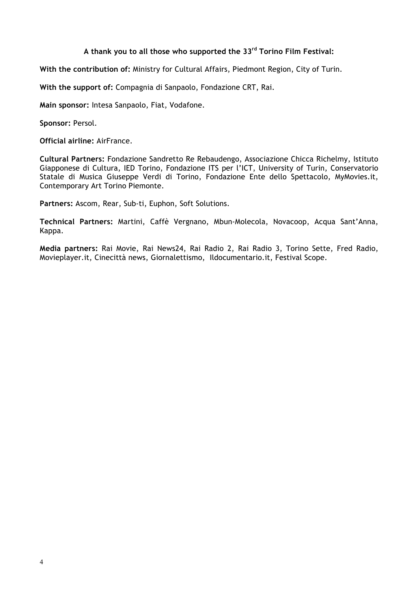## **A thank you to all those who supported the 33rd Torino Film Festival:**

**With the contribution of:** Ministry for Cultural Affairs, Piedmont Region, City of Turin.

**With the support of:** Compagnia di Sanpaolo, Fondazione CRT, Rai.

**Main sponsor:** Intesa Sanpaolo, Fiat, Vodafone.

**Sponsor:** Persol.

**Official airline:** AirFrance.

**Cultural Partners:** Fondazione Sandretto Re Rebaudengo, Associazione Chicca Richelmy, Istituto Giapponese di Cultura, IED Torino, Fondazione ITS per l'ICT, University of Turin, Conservatorio Statale di Musica Giuseppe Verdi di Torino, Fondazione Ente dello Spettacolo, MyMovies.it, Contemporary Art Torino Piemonte.

**Partners:** Ascom, Rear, Sub-ti, Euphon, Soft Solutions.

**Technical Partners:** Martini, Caffè Vergnano, Mbun-Molecola, Novacoop, Acqua Sant'Anna, Kappa.

**Media partners:** Rai Movie, Rai News24, Rai Radio 2, Rai Radio 3, Torino Sette, Fred Radio, Movieplayer.it, Cinecittà news, Giornalettismo, Ildocumentario.it, Festival Scope.